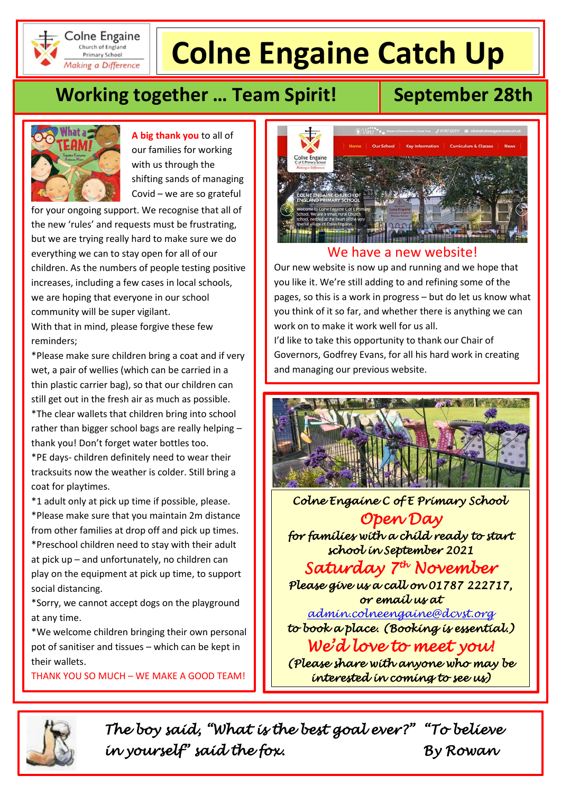

#### Colne Engaine **Primary School** Making a Difference

# **Colne Engaine Catch Up**

## **Working together ... Team Spirit!** September 28th



**A big thank you** to all of our families for working with us through the shifting sands of managing Covid – we are so grateful

for your ongoing support. We recognise that all of the new 'rules' and requests must be frustrating, but we are trying really hard to make sure we do everything we can to stay open for all of our children. As the numbers of people testing positive increases, including a few cases in local schools, we are hoping that everyone in our school community will be super vigilant. With that in mind, please forgive these few

reminders;

\*Please make sure children bring a coat and if very wet, a pair of wellies (which can be carried in a thin plastic carrier bag), so that our children can still get out in the fresh air as much as possible. \*The clear wallets that children bring into school rather than bigger school bags are really helping – thank you! Don't forget water bottles too.

\*PE days- children definitely need to wear their tracksuits now the weather is colder. Still bring a coat for playtimes.

\*1 adult only at pick up time if possible, please. \*Please make sure that you maintain 2m distance from other families at drop off and pick up times. \*Preschool children need to stay with their adult at pick up – and unfortunately, no children can play on the equipment at pick up time, to support social distancing.

\*Sorry, we cannot accept dogs on the playground at any time.

\*We welcome children bringing their own personal pot of sanitiser and tissues – which can be kept in their wallets.

THANK YOU SO MUCH – WE MAKE A GOOD TEAM!

*By Rowan* 



### We have a new website!

Our new website is now up and running and we hope that you like it. We're still adding to and refining some of the pages, so this is a work in progress – but do let us know what you think of it so far, and whether there is anything we can work on to make it work well for us all.

I'd like to take this opportunity to thank our Chair of Governors, Godfrey Evans, for all his hard work in creating and managing our previous website.



 *Colne Engaine C of E Primary School* 

*Open Day for families with a child ready to start school in September 2021* 

*Saturday 7th November Please give us a call on 01787 222717, or email us at* 

*[admin.colneengaine@dcvst.org](mailto:admin.colneengaine@dcvst.org) to book a place. (Booking is essential.) We'd love to meet you!* 

*(Please share with anyone who may be interested in coming to see us)* 



*The boy said, "What is the best goal ever?" "To believe in yourself" said the fox. By Rowan*